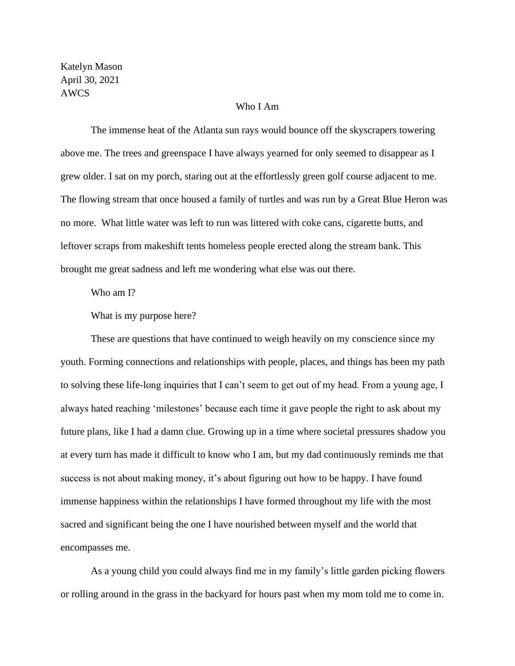Katelyn Mason April 30, 2021 AWCS

## Who I Am

The immense heat of the Atlanta sun rays would bounce off the skyscrapers towering above me. The trees and greenspace I have always yearned for only seemed to disappear as I grew older. I sat on my porch, staring out at the effortlessly green golf course adjacent to me. The flowing stream that once housed a family of turtles and was run by a Great Blue Heron was no more. What little water was left to run was littered with coke cans, cigarette butts, and leftover scraps from makeshift tents homeless people erected along the stream bank. This brought me great sadness and left me wondering what else was out there.

Who am I?

What is my purpose here?

These are questions that have continued to weigh heavily on my conscience since my youth. Forming connections and relationships with people, places, and things has been my path to solving these life-long inquiries that I can't seem to get out of my head. From a young age, I always hated reaching 'milestones' because each time it gave people the right to ask about my future plans, like I had a damn clue. Growing up in a time where societal pressures shadow you at every turn has made it difficult to know who I am, but my dad continuously reminds me that success is not about making money, it's about figuring out how to be happy. I have found immense happiness within the relationships I have formed throughout my life with the most sacred and significant being the one I have nourished between myself and the world that encompasses me.

As a young child you could always find me in my family's little garden picking flowers or rolling around in the grass in the backyard for hours past when my mom told me to come in.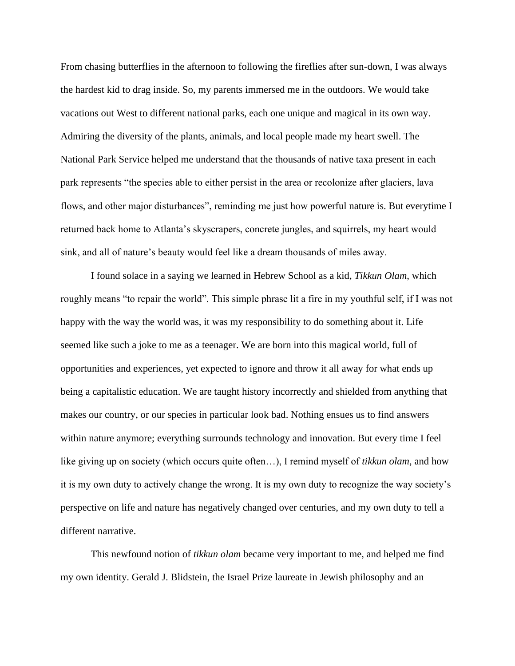From chasing butterflies in the afternoon to following the fireflies after sun-down, I was always the hardest kid to drag inside. So, my parents immersed me in the outdoors. We would take vacations out West to different national parks, each one unique and magical in its own way. Admiring the diversity of the plants, animals, and local people made my heart swell. The National Park Service helped me understand that the thousands of native taxa present in each park represents "the species able to either persist in the area or recolonize after glaciers, lava flows, and other major disturbances", reminding me just how powerful nature is. But everytime I returned back home to Atlanta's skyscrapers, concrete jungles, and squirrels, my heart would sink, and all of nature's beauty would feel like a dream thousands of miles away.

I found solace in a saying we learned in Hebrew School as a kid, *Tikkun Olam*, which roughly means "to repair the world". This simple phrase lit a fire in my youthful self, if I was not happy with the way the world was, it was my responsibility to do something about it. Life seemed like such a joke to me as a teenager. We are born into this magical world, full of opportunities and experiences, yet expected to ignore and throw it all away for what ends up being a capitalistic education. We are taught history incorrectly and shielded from anything that makes our country, or our species in particular look bad. Nothing ensues us to find answers within nature anymore; everything surrounds technology and innovation. But every time I feel like giving up on society (which occurs quite often…), I remind myself of *tikkun olam*, and how it is my own duty to actively change the wrong. It is my own duty to recognize the way society's perspective on life and nature has negatively changed over centuries, and my own duty to tell a different narrative.

This newfound notion of *tikkun olam* became very important to me, and helped me find my own identity. Gerald J. Blidstein, the Israel Prize laureate in Jewish philosophy and an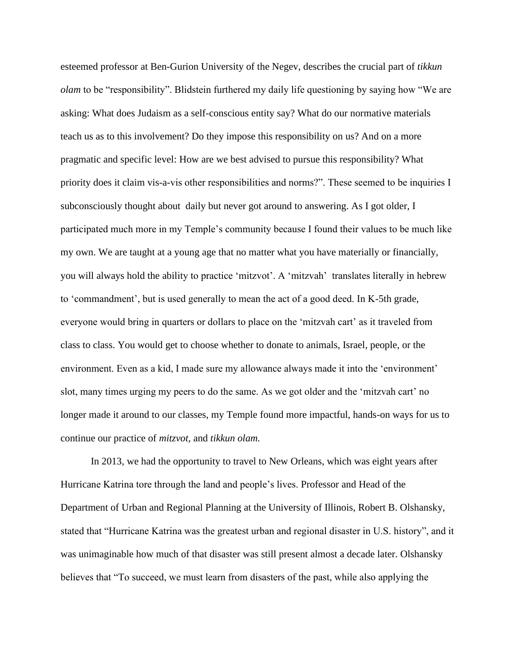esteemed professor at Ben-Gurion University of the Negev, describes the crucial part of *tikkun olam* to be "responsibility". Blidstein furthered my daily life questioning by saying how "We are asking: What does Judaism as a self-conscious entity say? What do our normative materials teach us as to this involvement? Do they impose this responsibility on us? And on a more pragmatic and specific level: How are we best advised to pursue this responsibility? What priority does it claim vis-a-vis other responsibilities and norms?". These seemed to be inquiries I subconsciously thought about daily but never got around to answering. As I got older, I participated much more in my Temple's community because I found their values to be much like my own. We are taught at a young age that no matter what you have materially or financially, you will always hold the ability to practice 'mitzvot'. A 'mitzvah' translates literally in hebrew to 'commandment', but is used generally to mean the act of a good deed. In K-5th grade, everyone would bring in quarters or dollars to place on the 'mitzvah cart' as it traveled from class to class. You would get to choose whether to donate to animals, Israel, people, or the environment. Even as a kid, I made sure my allowance always made it into the 'environment' slot, many times urging my peers to do the same. As we got older and the 'mitzvah cart' no longer made it around to our classes, my Temple found more impactful, hands-on ways for us to continue our practice of *mitzvot,* and *tikkun olam.* 

In 2013, we had the opportunity to travel to New Orleans, which was eight years after Hurricane Katrina tore through the land and people's lives. Professor and Head of the Department of Urban and Regional Planning at the University of Illinois, Robert B. Olshansky, stated that "Hurricane Katrina was the greatest urban and regional disaster in U.S. history", and it was unimaginable how much of that disaster was still present almost a decade later. Olshansky believes that "To succeed, we must learn from disasters of the past, while also applying the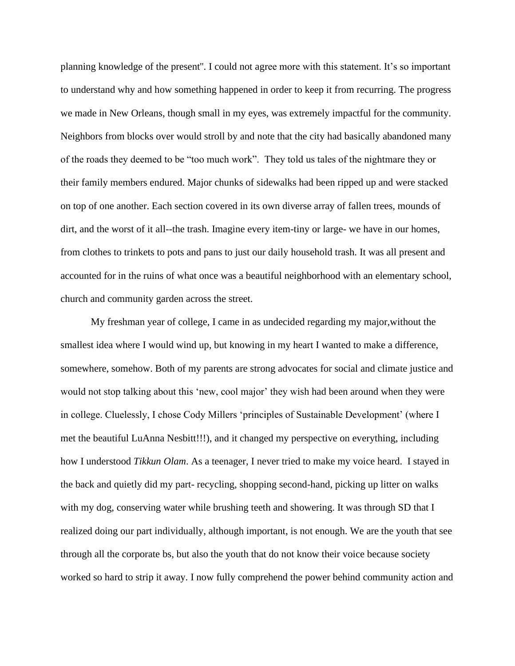planning knowledge of the present''. I could not agree more with this statement. It's so important to understand why and how something happened in order to keep it from recurring. The progress we made in New Orleans, though small in my eyes, was extremely impactful for the community. Neighbors from blocks over would stroll by and note that the city had basically abandoned many of the roads they deemed to be "too much work". They told us tales of the nightmare they or their family members endured. Major chunks of sidewalks had been ripped up and were stacked on top of one another. Each section covered in its own diverse array of fallen trees, mounds of dirt, and the worst of it all--the trash. Imagine every item-tiny or large- we have in our homes, from clothes to trinkets to pots and pans to just our daily household trash. It was all present and accounted for in the ruins of what once was a beautiful neighborhood with an elementary school, church and community garden across the street.

My freshman year of college, I came in as undecided regarding my major,without the smallest idea where I would wind up, but knowing in my heart I wanted to make a difference, somewhere, somehow. Both of my parents are strong advocates for social and climate justice and would not stop talking about this 'new, cool major' they wish had been around when they were in college. Cluelessly, I chose Cody Millers 'principles of Sustainable Development' (where I met the beautiful LuAnna Nesbitt!!!), and it changed my perspective on everything, including how I understood *Tikkun Olam*. As a teenager, I never tried to make my voice heard. I stayed in the back and quietly did my part- recycling, shopping second-hand, picking up litter on walks with my dog, conserving water while brushing teeth and showering. It was through SD that I realized doing our part individually, although important, is not enough. We are the youth that see through all the corporate bs, but also the youth that do not know their voice because society worked so hard to strip it away. I now fully comprehend the power behind community action and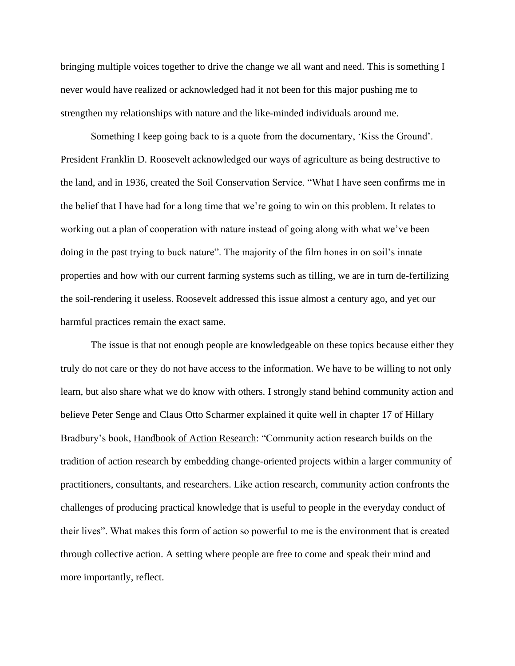bringing multiple voices together to drive the change we all want and need. This is something I never would have realized or acknowledged had it not been for this major pushing me to strengthen my relationships with nature and the like-minded individuals around me.

Something I keep going back to is a quote from the documentary, 'Kiss the Ground'. President Franklin D. Roosevelt acknowledged our ways of agriculture as being destructive to the land, and in 1936, created the Soil Conservation Service. "What I have seen confirms me in the belief that I have had for a long time that we're going to win on this problem. It relates to working out a plan of cooperation with nature instead of going along with what we've been doing in the past trying to buck nature". The majority of the film hones in on soil's innate properties and how with our current farming systems such as tilling, we are in turn de-fertilizing the soil-rendering it useless. Roosevelt addressed this issue almost a century ago, and yet our harmful practices remain the exact same.

The issue is that not enough people are knowledgeable on these topics because either they truly do not care or they do not have access to the information. We have to be willing to not only learn, but also share what we do know with others. I strongly stand behind community action and believe Peter Senge and Claus Otto Scharmer explained it quite well in chapter 17 of Hillary Bradbury's book, Handbook of Action Research: "Community action research builds on the tradition of action research by embedding change-oriented projects within a larger community of practitioners, consultants, and researchers. Like action research, community action confronts the challenges of producing practical knowledge that is useful to people in the everyday conduct of their lives". What makes this form of action so powerful to me is the environment that is created through collective action. A setting where people are free to come and speak their mind and more importantly, reflect.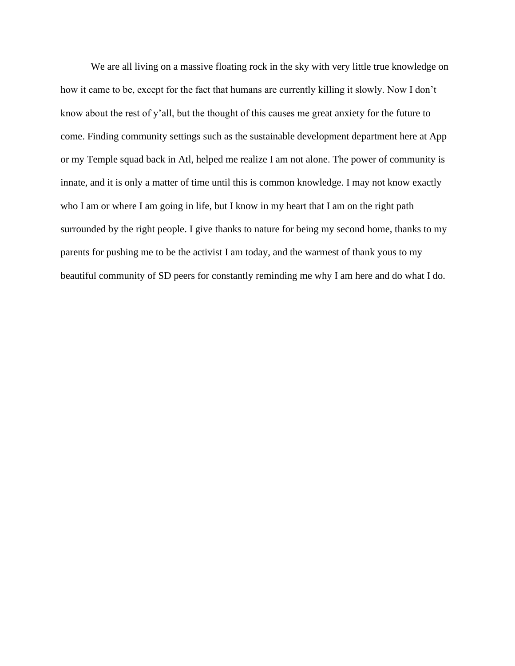We are all living on a massive floating rock in the sky with very little true knowledge on how it came to be, except for the fact that humans are currently killing it slowly. Now I don't know about the rest of y'all, but the thought of this causes me great anxiety for the future to come. Finding community settings such as the sustainable development department here at App or my Temple squad back in Atl, helped me realize I am not alone. The power of community is innate, and it is only a matter of time until this is common knowledge. I may not know exactly who I am or where I am going in life, but I know in my heart that I am on the right path surrounded by the right people. I give thanks to nature for being my second home, thanks to my parents for pushing me to be the activist I am today, and the warmest of thank yous to my beautiful community of SD peers for constantly reminding me why I am here and do what I do.